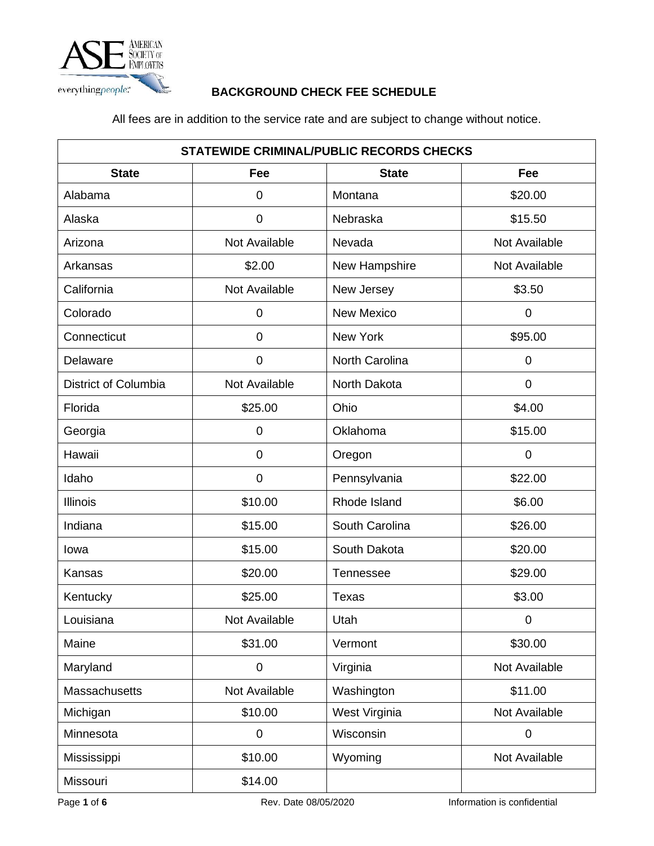

## **BACKGROUND CHECK FEE SCHEDULE**

All fees are in addition to the service rate and are subject to change without notice.

| <b>STATEWIDE CRIMINAL/PUBLIC RECORDS CHECKS</b> |                |                   |               |
|-------------------------------------------------|----------------|-------------------|---------------|
| <b>State</b>                                    | Fee            | <b>State</b>      | Fee           |
| Alabama                                         | 0              | Montana           | \$20.00       |
| Alaska                                          | 0              | Nebraska          | \$15.50       |
| Arizona                                         | Not Available  | Nevada            | Not Available |
| Arkansas                                        | \$2.00         | New Hampshire     | Not Available |
| California                                      | Not Available  | New Jersey        | \$3.50        |
| Colorado                                        | 0              | <b>New Mexico</b> | 0             |
| Connecticut                                     | $\overline{0}$ | New York          | \$95.00       |
| Delaware                                        | 0              | North Carolina    | $\mathbf 0$   |
| <b>District of Columbia</b>                     | Not Available  | North Dakota      | 0             |
| Florida                                         | \$25.00        | Ohio              | \$4.00        |
| Georgia                                         | 0              | Oklahoma          | \$15.00       |
| Hawaii                                          | 0              | Oregon            | $\mathbf 0$   |
| Idaho                                           | 0              | Pennsylvania      | \$22.00       |
| <b>Illinois</b>                                 | \$10.00        | Rhode Island      | \$6.00        |
| Indiana                                         | \$15.00        | South Carolina    | \$26.00       |
| lowa                                            | \$15.00        | South Dakota      | \$20.00       |
| Kansas                                          | \$20.00        | <b>Tennessee</b>  | \$29.00       |
| Kentucky                                        | \$25.00        | <b>Texas</b>      | \$3.00        |
| Louisiana                                       | Not Available  | Utah              | $\mathbf 0$   |
| Maine                                           | \$31.00        | Vermont           | \$30.00       |
| Maryland                                        | 0              | Virginia          | Not Available |
| <b>Massachusetts</b>                            | Not Available  | Washington        | \$11.00       |
| Michigan                                        | \$10.00        | West Virginia     | Not Available |
| Minnesota                                       | $\pmb{0}$      | Wisconsin         | $\pmb{0}$     |
| Mississippi                                     | \$10.00        | Wyoming           | Not Available |
| Missouri                                        | \$14.00        |                   |               |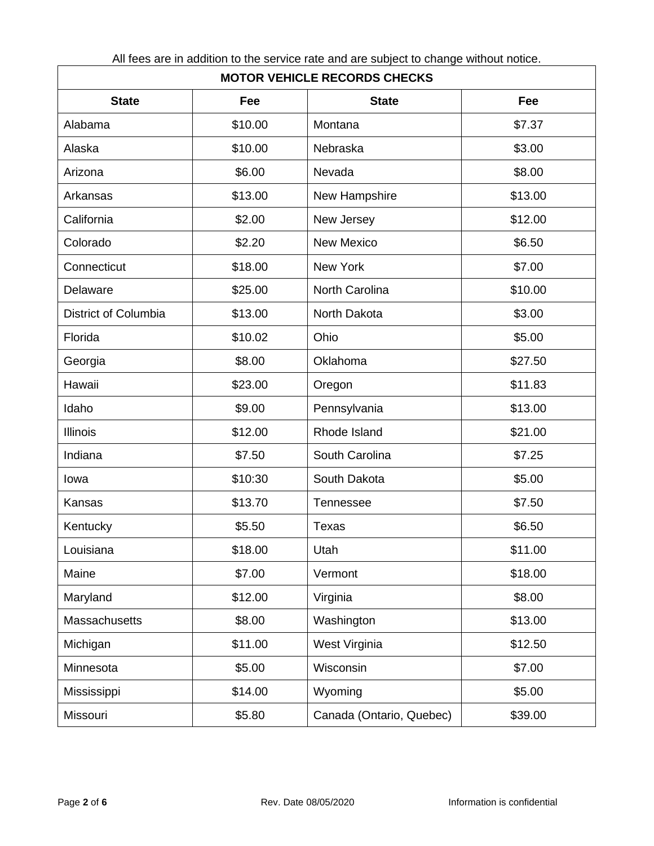| <b>MOTOR VEHICLE RECORDS CHECKS</b> |         |                          |         |
|-------------------------------------|---------|--------------------------|---------|
| <b>State</b>                        | Fee     | <b>State</b>             | Fee     |
| Alabama                             | \$10.00 | Montana                  | \$7.37  |
| Alaska                              | \$10.00 | Nebraska                 | \$3.00  |
| Arizona                             | \$6.00  | Nevada                   | \$8.00  |
| Arkansas                            | \$13.00 | New Hampshire            | \$13.00 |
| California                          | \$2.00  | New Jersey               | \$12.00 |
| Colorado                            | \$2.20  | <b>New Mexico</b>        | \$6.50  |
| Connecticut                         | \$18.00 | <b>New York</b>          | \$7.00  |
| Delaware                            | \$25.00 | <b>North Carolina</b>    | \$10.00 |
| District of Columbia                | \$13.00 | North Dakota             | \$3.00  |
| Florida                             | \$10.02 | Ohio                     | \$5.00  |
| Georgia                             | \$8.00  | Oklahoma                 | \$27.50 |
| Hawaii                              | \$23.00 | Oregon                   | \$11.83 |
| Idaho                               | \$9.00  | Pennsylvania             | \$13.00 |
| <b>Illinois</b>                     | \$12.00 | Rhode Island             | \$21.00 |
| Indiana                             | \$7.50  | South Carolina           | \$7.25  |
| Iowa                                | \$10:30 | South Dakota             | \$5.00  |
| Kansas                              | \$13.70 | Tennessee                | \$7.50  |
| Kentucky                            | \$5.50  | <b>Texas</b>             | \$6.50  |
| Louisiana                           | \$18.00 | Utah                     | \$11.00 |
| Maine                               | \$7.00  | Vermont                  | \$18.00 |
| Maryland                            | \$12.00 | Virginia                 | \$8.00  |
| Massachusetts                       | \$8.00  | Washington               | \$13.00 |
| Michigan                            | \$11.00 | West Virginia            | \$12.50 |
| Minnesota                           | \$5.00  | Wisconsin                | \$7.00  |
| Mississippi                         | \$14.00 | Wyoming                  | \$5.00  |
| Missouri                            | \$5.80  | Canada (Ontario, Quebec) | \$39.00 |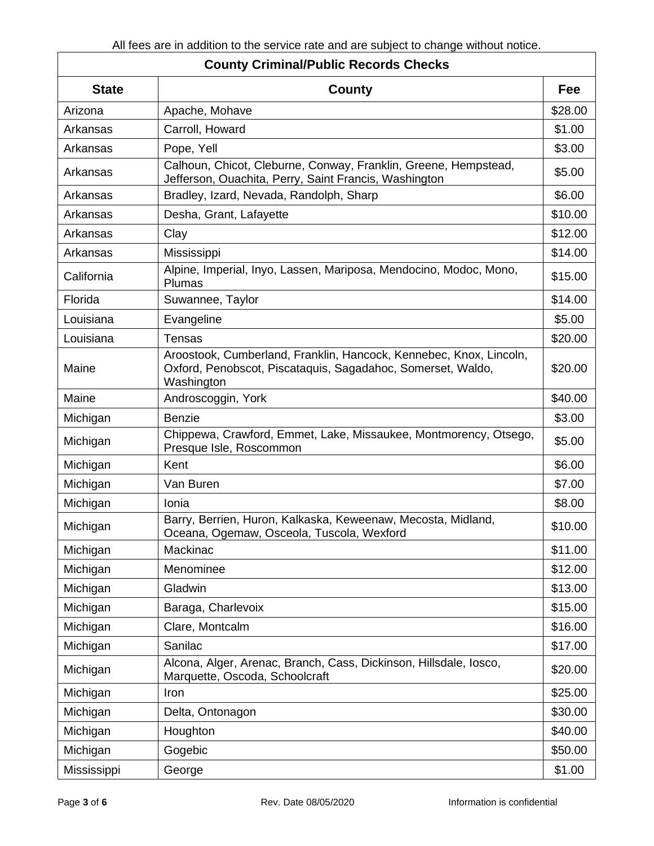## **County Criminal/Public Records Checks**

| <b>State</b> | County                                                                                                                                          | Fee     |
|--------------|-------------------------------------------------------------------------------------------------------------------------------------------------|---------|
| Arizona      | Apache, Mohave                                                                                                                                  | \$28.00 |
| Arkansas     | Carroll, Howard                                                                                                                                 | \$1.00  |
| Arkansas     | Pope, Yell                                                                                                                                      | \$3.00  |
| Arkansas     | Calhoun, Chicot, Cleburne, Conway, Franklin, Greene, Hempstead,<br>Jefferson, Ouachita, Perry, Saint Francis, Washington                        | \$5.00  |
| Arkansas     | Bradley, Izard, Nevada, Randolph, Sharp                                                                                                         | \$6.00  |
| Arkansas     | Desha, Grant, Lafayette                                                                                                                         | \$10.00 |
| Arkansas     | Clay                                                                                                                                            | \$12.00 |
| Arkansas     | Mississippi                                                                                                                                     | \$14.00 |
| California   | Alpine, Imperial, Inyo, Lassen, Mariposa, Mendocino, Modoc, Mono,<br>Plumas                                                                     | \$15.00 |
| Florida      | Suwannee, Taylor                                                                                                                                | \$14.00 |
| Louisiana    | Evangeline                                                                                                                                      | \$5.00  |
| Louisiana    | <b>Tensas</b>                                                                                                                                   | \$20.00 |
| Maine        | Aroostook, Cumberland, Franklin, Hancock, Kennebec, Knox, Lincoln,<br>Oxford, Penobscot, Piscataquis, Sagadahoc, Somerset, Waldo,<br>Washington | \$20.00 |
| Maine        | Androscoggin, York                                                                                                                              | \$40.00 |
| Michigan     | <b>Benzie</b>                                                                                                                                   | \$3.00  |
| Michigan     | Chippewa, Crawford, Emmet, Lake, Missaukee, Montmorency, Otsego,<br>Presque Isle, Roscommon                                                     | \$5.00  |
| Michigan     | Kent                                                                                                                                            | \$6.00  |
| Michigan     | Van Buren                                                                                                                                       | \$7.00  |
| Michigan     | Ionia                                                                                                                                           | \$8.00  |
| Michigan     | Barry, Berrien, Huron, Kalkaska, Keweenaw, Mecosta, Midland,<br>Oceana, Ogemaw, Osceola, Tuscola, Wexford                                       | \$10.00 |
| Michigan     | Mackinac                                                                                                                                        | \$11.00 |
| Michigan     | Menominee                                                                                                                                       | \$12.00 |
| Michigan     | Gladwin                                                                                                                                         | \$13.00 |
| Michigan     | Baraga, Charlevoix                                                                                                                              | \$15.00 |
| Michigan     | Clare, Montcalm                                                                                                                                 | \$16.00 |
| Michigan     | Sanilac                                                                                                                                         | \$17.00 |
| Michigan     | Alcona, Alger, Arenac, Branch, Cass, Dickinson, Hillsdale, Iosco,<br>Marquette, Oscoda, Schoolcraft                                             | \$20.00 |
| Michigan     | Iron                                                                                                                                            | \$25.00 |
| Michigan     | Delta, Ontonagon                                                                                                                                | \$30.00 |
| Michigan     | Houghton                                                                                                                                        | \$40.00 |
| Michigan     | Gogebic                                                                                                                                         | \$50.00 |
| Mississippi  | George                                                                                                                                          | \$1.00  |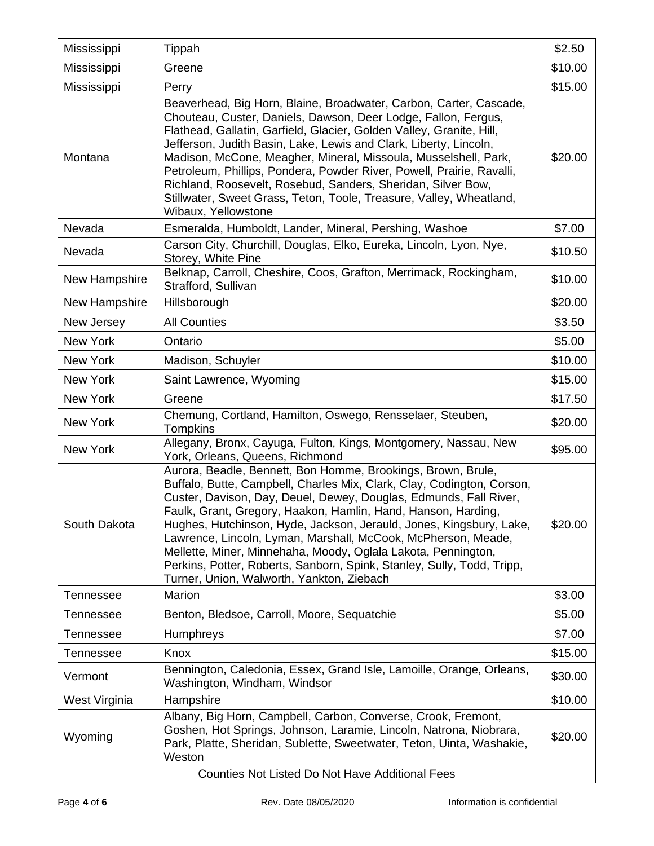| Mississippi                                            | Tippah                                                                                                                                                                                                                                                                                                                                                                                                                                                                                                                                                                                                       | \$2.50  |
|--------------------------------------------------------|--------------------------------------------------------------------------------------------------------------------------------------------------------------------------------------------------------------------------------------------------------------------------------------------------------------------------------------------------------------------------------------------------------------------------------------------------------------------------------------------------------------------------------------------------------------------------------------------------------------|---------|
| Mississippi                                            | Greene                                                                                                                                                                                                                                                                                                                                                                                                                                                                                                                                                                                                       | \$10.00 |
| Mississippi                                            | Perry                                                                                                                                                                                                                                                                                                                                                                                                                                                                                                                                                                                                        | \$15.00 |
| Montana                                                | Beaverhead, Big Horn, Blaine, Broadwater, Carbon, Carter, Cascade,<br>Chouteau, Custer, Daniels, Dawson, Deer Lodge, Fallon, Fergus,<br>Flathead, Gallatin, Garfield, Glacier, Golden Valley, Granite, Hill,<br>Jefferson, Judith Basin, Lake, Lewis and Clark, Liberty, Lincoln,<br>Madison, McCone, Meagher, Mineral, Missoula, Musselshell, Park,<br>Petroleum, Phillips, Pondera, Powder River, Powell, Prairie, Ravalli,<br>Richland, Roosevelt, Rosebud, Sanders, Sheridan, Silver Bow,<br>Stillwater, Sweet Grass, Teton, Toole, Treasure, Valley, Wheatland,<br>Wibaux, Yellowstone                  | \$20.00 |
| Nevada                                                 | Esmeralda, Humboldt, Lander, Mineral, Pershing, Washoe                                                                                                                                                                                                                                                                                                                                                                                                                                                                                                                                                       | \$7.00  |
| Nevada                                                 | Carson City, Churchill, Douglas, Elko, Eureka, Lincoln, Lyon, Nye,<br>Storey, White Pine                                                                                                                                                                                                                                                                                                                                                                                                                                                                                                                     | \$10.50 |
| New Hampshire                                          | Belknap, Carroll, Cheshire, Coos, Grafton, Merrimack, Rockingham,<br>Strafford, Sullivan                                                                                                                                                                                                                                                                                                                                                                                                                                                                                                                     | \$10.00 |
| New Hampshire                                          | Hillsborough                                                                                                                                                                                                                                                                                                                                                                                                                                                                                                                                                                                                 | \$20.00 |
| New Jersey                                             | <b>All Counties</b>                                                                                                                                                                                                                                                                                                                                                                                                                                                                                                                                                                                          | \$3.50  |
| <b>New York</b>                                        | Ontario                                                                                                                                                                                                                                                                                                                                                                                                                                                                                                                                                                                                      | \$5.00  |
| New York                                               | Madison, Schuyler                                                                                                                                                                                                                                                                                                                                                                                                                                                                                                                                                                                            | \$10.00 |
| New York                                               | Saint Lawrence, Wyoming                                                                                                                                                                                                                                                                                                                                                                                                                                                                                                                                                                                      | \$15.00 |
| New York                                               | Greene                                                                                                                                                                                                                                                                                                                                                                                                                                                                                                                                                                                                       | \$17.50 |
| New York                                               | Chemung, Cortland, Hamilton, Oswego, Rensselaer, Steuben,<br><b>Tompkins</b>                                                                                                                                                                                                                                                                                                                                                                                                                                                                                                                                 | \$20.00 |
| New York                                               | Allegany, Bronx, Cayuga, Fulton, Kings, Montgomery, Nassau, New<br>York, Orleans, Queens, Richmond                                                                                                                                                                                                                                                                                                                                                                                                                                                                                                           | \$95.00 |
| South Dakota                                           | Aurora, Beadle, Bennett, Bon Homme, Brookings, Brown, Brule,<br>Buffalo, Butte, Campbell, Charles Mix, Clark, Clay, Codington, Corson,<br>Custer, Davison, Day, Deuel, Dewey, Douglas, Edmunds, Fall River,<br>Faulk, Grant, Gregory, Haakon, Hamlin, Hand, Hanson, Harding,<br>Hughes, Hutchinson, Hyde, Jackson, Jerauld, Jones, Kingsbury, Lake,<br>Lawrence, Lincoln, Lyman, Marshall, McCook, McPherson, Meade,<br>Mellette, Miner, Minnehaha, Moody, Oglala Lakota, Pennington,<br>Perkins, Potter, Roberts, Sanborn, Spink, Stanley, Sully, Todd, Tripp,<br>Turner, Union, Walworth, Yankton, Ziebach | \$20.00 |
| Tennessee                                              | Marion                                                                                                                                                                                                                                                                                                                                                                                                                                                                                                                                                                                                       | \$3.00  |
| <b>Tennessee</b>                                       | Benton, Bledsoe, Carroll, Moore, Sequatchie                                                                                                                                                                                                                                                                                                                                                                                                                                                                                                                                                                  | \$5.00  |
| Tennessee                                              | <b>Humphreys</b>                                                                                                                                                                                                                                                                                                                                                                                                                                                                                                                                                                                             | \$7.00  |
| Tennessee                                              | Knox                                                                                                                                                                                                                                                                                                                                                                                                                                                                                                                                                                                                         | \$15.00 |
| Vermont                                                | Bennington, Caledonia, Essex, Grand Isle, Lamoille, Orange, Orleans,<br>Washington, Windham, Windsor                                                                                                                                                                                                                                                                                                                                                                                                                                                                                                         | \$30.00 |
| West Virginia                                          | Hampshire                                                                                                                                                                                                                                                                                                                                                                                                                                                                                                                                                                                                    | \$10.00 |
| Wyoming                                                | Albany, Big Horn, Campbell, Carbon, Converse, Crook, Fremont,<br>Goshen, Hot Springs, Johnson, Laramie, Lincoln, Natrona, Niobrara,<br>Park, Platte, Sheridan, Sublette, Sweetwater, Teton, Uinta, Washakie,<br>Weston                                                                                                                                                                                                                                                                                                                                                                                       | \$20.00 |
| <b>Counties Not Listed Do Not Have Additional Fees</b> |                                                                                                                                                                                                                                                                                                                                                                                                                                                                                                                                                                                                              |         |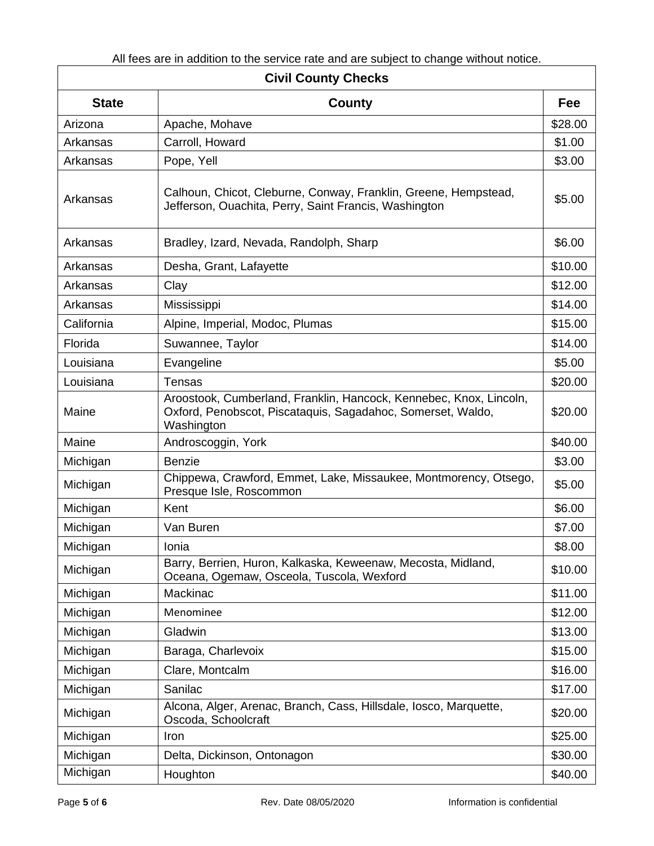| $\alpha$ in 1000 and in addition to the borrhoo rate and are babjoot to bilange mithout hotioc.<br><b>Civil County Checks</b> |                                                                                                                                                 |         |
|-------------------------------------------------------------------------------------------------------------------------------|-------------------------------------------------------------------------------------------------------------------------------------------------|---------|
| <b>State</b>                                                                                                                  | <b>County</b>                                                                                                                                   | Fee     |
| Arizona                                                                                                                       | Apache, Mohave                                                                                                                                  | \$28.00 |
| Arkansas                                                                                                                      | Carroll, Howard                                                                                                                                 | \$1.00  |
| Arkansas                                                                                                                      | Pope, Yell                                                                                                                                      | \$3.00  |
| Arkansas                                                                                                                      | Calhoun, Chicot, Cleburne, Conway, Franklin, Greene, Hempstead,<br>Jefferson, Ouachita, Perry, Saint Francis, Washington                        | \$5.00  |
| Arkansas                                                                                                                      | Bradley, Izard, Nevada, Randolph, Sharp                                                                                                         | \$6.00  |
| Arkansas                                                                                                                      | Desha, Grant, Lafayette                                                                                                                         | \$10.00 |
| Arkansas                                                                                                                      | Clay                                                                                                                                            | \$12.00 |
| Arkansas                                                                                                                      | Mississippi                                                                                                                                     | \$14.00 |
| California                                                                                                                    | Alpine, Imperial, Modoc, Plumas                                                                                                                 | \$15.00 |
| Florida                                                                                                                       | Suwannee, Taylor                                                                                                                                | \$14.00 |
| Louisiana                                                                                                                     | Evangeline                                                                                                                                      | \$5.00  |
| Louisiana                                                                                                                     | <b>Tensas</b>                                                                                                                                   | \$20.00 |
| Maine                                                                                                                         | Aroostook, Cumberland, Franklin, Hancock, Kennebec, Knox, Lincoln,<br>Oxford, Penobscot, Piscataquis, Sagadahoc, Somerset, Waldo,<br>Washington | \$20.00 |
| Maine                                                                                                                         | Androscoggin, York                                                                                                                              | \$40.00 |
| Michigan                                                                                                                      | <b>Benzie</b>                                                                                                                                   | \$3.00  |
| Michigan                                                                                                                      | Chippewa, Crawford, Emmet, Lake, Missaukee, Montmorency, Otsego,<br>Presque Isle, Roscommon                                                     | \$5.00  |
| Michigan                                                                                                                      | Kent                                                                                                                                            | \$6.00  |
| Michigan                                                                                                                      | Van Buren                                                                                                                                       | \$7.00  |
| Michigan                                                                                                                      | Ionia                                                                                                                                           | \$8.00  |
| Michigan                                                                                                                      | Barry, Berrien, Huron, Kalkaska, Keweenaw, Mecosta, Midland,<br>Oceana, Ogemaw, Osceola, Tuscola, Wexford                                       | \$10.00 |
| Michigan                                                                                                                      | Mackinac                                                                                                                                        | \$11.00 |
| Michigan                                                                                                                      | Menominee                                                                                                                                       | \$12.00 |
| Michigan                                                                                                                      | Gladwin                                                                                                                                         | \$13.00 |
| Michigan                                                                                                                      | Baraga, Charlevoix                                                                                                                              | \$15.00 |
| Michigan                                                                                                                      | Clare, Montcalm                                                                                                                                 | \$16.00 |
| Michigan                                                                                                                      | Sanilac                                                                                                                                         | \$17.00 |
| Michigan                                                                                                                      | Alcona, Alger, Arenac, Branch, Cass, Hillsdale, Iosco, Marquette,<br>Oscoda, Schoolcraft                                                        | \$20.00 |
| Michigan                                                                                                                      | Iron                                                                                                                                            | \$25.00 |
| Michigan                                                                                                                      | Delta, Dickinson, Ontonagon                                                                                                                     | \$30.00 |
| Michigan                                                                                                                      | Houghton                                                                                                                                        | \$40.00 |